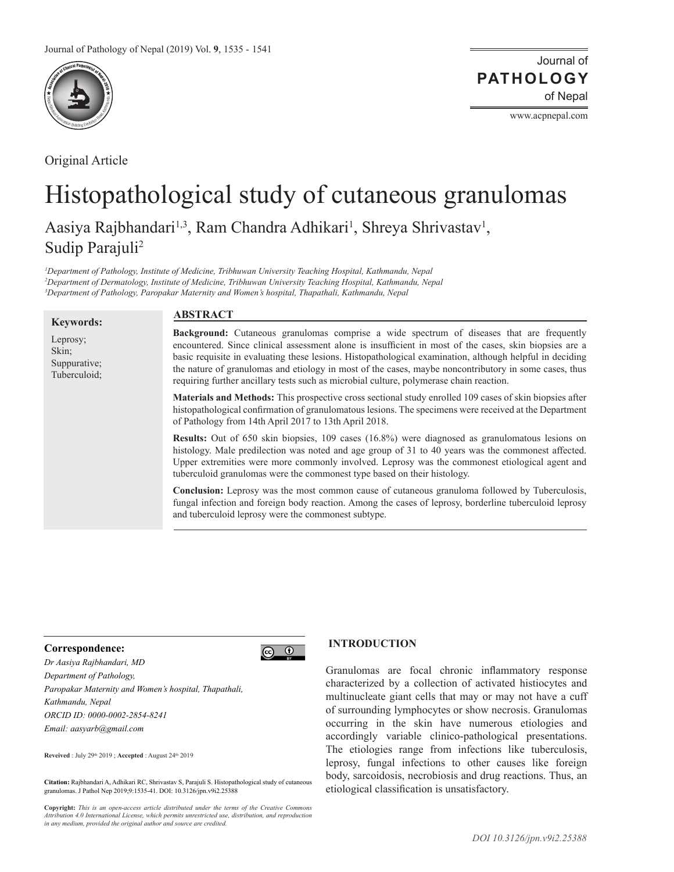

Original Article

Journal of of Nepal **PATHOLOGY**

www.acpnepal.com

# Histopathological study of cutaneous granulomas

Aasiya Rajbhandari<sup>1,3</sup>, Ram Chandra Adhikari<sup>1</sup>, Shreya Shrivastav<sup>1</sup>, Sudip Parajuli<sup>2</sup>

*1 Department of Pathology, Institute of Medicine, Tribhuwan University Teaching Hospital, Kathmandu, Nepal 2 Department of Dermatology, Institute of Medicine, Tribhuwan University Teaching Hospital, Kathmandu, Nepal 3 Department of Pathology, Paropakar Maternity and Women's hospital, Thapathali, Kathmandu, Nepal* 

#### **Keywords:** Leprosy; Skin; Suppurative; Tuberculoid; **Background:** Cutaneous granulomas comprise a wide spectrum of diseases that are frequently encountered. Since clinical assessment alone is insufficient in most of the cases, skin biopsies are a basic requisite in evaluating these lesions. Histopathological examination, although helpful in deciding the nature of granulomas and etiology in most of the cases, maybe noncontributory in some cases, thus requiring further ancillary tests such as microbial culture, polymerase chain reaction. **Materials and Methods:** This prospective cross sectional study enrolled 109 cases of skin biopsies after histopathological confirmation of granulomatous lesions. The specimens were received at the Department of Pathology from 14th April 2017 to 13th April 2018. **Results:** Out of 650 skin biopsies, 109 cases (16.8%) were diagnosed as granulomatous lesions on histology. Male predilection was noted and age group of 31 to 40 years was the commonest affected. Upper extremities were more commonly involved. Leprosy was the commonest etiological agent and tuberculoid granulomas were the commonest type based on their histology. **Conclusion:** Leprosy was the most common cause of cutaneous granuloma followed by Tuberculosis, fungal infection and foreign body reaction. Among the cases of leprosy, borderline tuberculoid leprosy and tuberculoid leprosy were the commonest subtype. **ABSTRACT**

# **Correspondence:**



*Dr Aasiya Rajbhandari, MD Department of Pathology, Paropakar Maternity and Women's hospital, Thapathali, Kathmandu, Nepal ORCID ID: 0000-0002-2854-8241 Email: aasyarb@gmail.com*

**Reveived** : July 29th 2019 ; **Accepted** : August 24th 2019

**Citation:** Rajbhandari A, Adhikari RC, Shrivastav S, Parajuli S. Histopathological study of cutaneous granulomas. J Pathol Nep 2019;9:1535-41. DOI: 10.3126/jpn.v9i2.25388

**Copyright:** *This is an open-access article distributed under the terms of the Creative Commons Attribution 4.0 International License, which permits unrestricted use, distribution, and reproduction in any medium, provided the original author and source are credited.*

# **INTRODUCTION**

Granulomas are focal chronic inflammatory response characterized by a collection of activated histiocytes and multinucleate giant cells that may or may not have a cuff of surrounding lymphocytes or show necrosis. Granulomas occurring in the skin have numerous etiologies and accordingly variable clinico-pathological presentations. The etiologies range from infections like tuberculosis, leprosy, fungal infections to other causes like foreign body, sarcoidosis, necrobiosis and drug reactions. Thus, an etiological classification is unsatisfactory.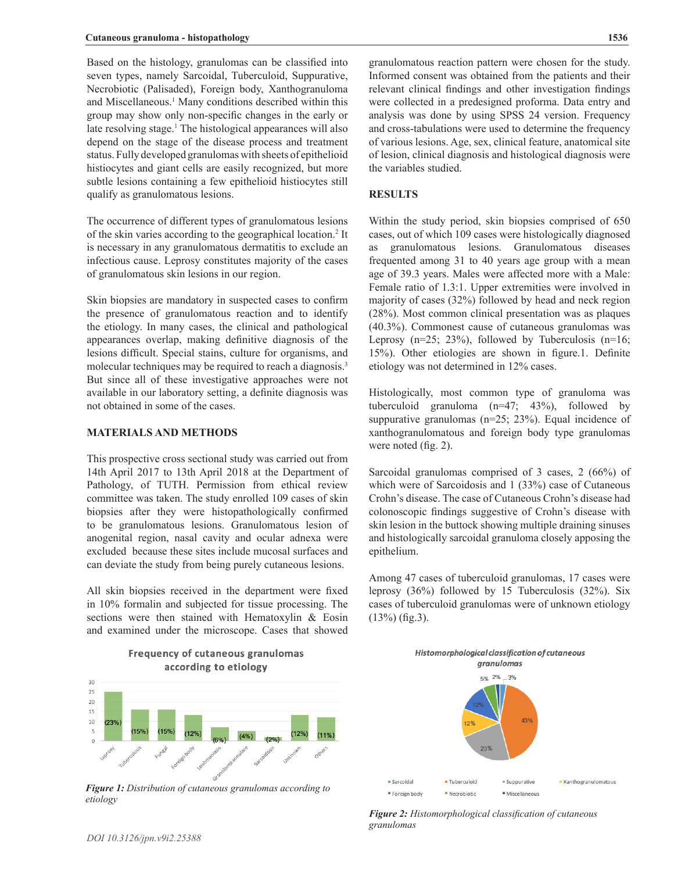Based on the histology, granulomas can be classified into seven types, namely Sarcoidal, Tuberculoid, Suppurative, Necrobiotic (Palisaded), Foreign body, Xanthogranuloma and Miscellaneous.<sup>1</sup> Many conditions described within this group may show only non-specific changes in the early or late resolving stage.<sup>1</sup> The histological appearances will also depend on the stage of the disease process and treatment status. Fully developed granulomas with sheets of epithelioid histiocytes and giant cells are easily recognized, but more subtle lesions containing a few epithelioid histiocytes still qualify as granulomatous lesions.

The occurrence of different types of granulomatous lesions of the skin varies according to the geographical location.<sup>2</sup> It is necessary in any granulomatous dermatitis to exclude an infectious cause. Leprosy constitutes majority of the cases of granulomatous skin lesions in our region.

Skin biopsies are mandatory in suspected cases to confirm the presence of granulomatous reaction and to identify the etiology. In many cases, the clinical and pathological appearances overlap, making definitive diagnosis of the lesions difficult. Special stains, culture for organisms, and molecular techniques may be required to reach a diagnosis.<sup>3</sup> But since all of these investigative approaches were not available in our laboratory setting, a definite diagnosis was not obtained in some of the cases.

## **MATERIALS AND METHODS**

This prospective cross sectional study was carried out from 14th April 2017 to 13th April 2018 at the Department of Pathology, of TUTH. Permission from ethical review committee was taken. The study enrolled 109 cases of skin biopsies after they were histopathologically confirmed to be granulomatous lesions. Granulomatous lesion of anogenital region, nasal cavity and ocular adnexa were excluded because these sites include mucosal surfaces and can deviate the study from being purely cutaneous lesions.

All skin biopsies received in the department were fixed in 10% formalin and subjected for tissue processing. The sections were then stained with Hematoxylin & Eosin and examined under the microscope. Cases that showed

Frequency of cutaneous granulomas



*Figure 1: Distribution of cutaneous granulomas according to etiology*

granulomatous reaction pattern were chosen for the study. Informed consent was obtained from the patients and their relevant clinical findings and other investigation findings were collected in a predesigned proforma. Data entry and analysis was done by using SPSS 24 version. Frequency and cross-tabulations were used to determine the frequency of various lesions. Age, sex, clinical feature, anatomical site of lesion, clinical diagnosis and histological diagnosis were the variables studied.

# **RESULTS**

Within the study period, skin biopsies comprised of 650 cases, out of which 109 cases were histologically diagnosed as granulomatous lesions. Granulomatous diseases frequented among 31 to 40 years age group with a mean age of 39.3 years. Males were affected more with a Male: Female ratio of 1.3:1. Upper extremities were involved in majority of cases (32%) followed by head and neck region (28%). Most common clinical presentation was as plaques (40.3%). Commonest cause of cutaneous granulomas was Leprosy  $(n=25; 23\%)$ , followed by Tuberculosis  $(n=16;$ 15%). Other etiologies are shown in figure.1. Definite etiology was not determined in 12% cases.

Histologically, most common type of granuloma was tuberculoid granuloma (n=47; 43%), followed by suppurative granulomas (n=25; 23%). Equal incidence of xanthogranulomatous and foreign body type granulomas were noted (fig. 2).

Sarcoidal granulomas comprised of 3 cases, 2 (66%) of which were of Sarcoidosis and 1 (33%) case of Cutaneous Crohn's disease. The case of Cutaneous Crohn's disease had colonoscopic findings suggestive of Crohn's disease with skin lesion in the buttock showing multiple draining sinuses and histologically sarcoidal granuloma closely apposing the epithelium.

Among 47 cases of tuberculoid granulomas, 17 cases were leprosy (36%) followed by 15 Tuberculosis (32%). Six cases of tuberculoid granulomas were of unknown etiology (13%) (fig.3).



*Figure 2: Histomorphological classification of cutaneous granulomas*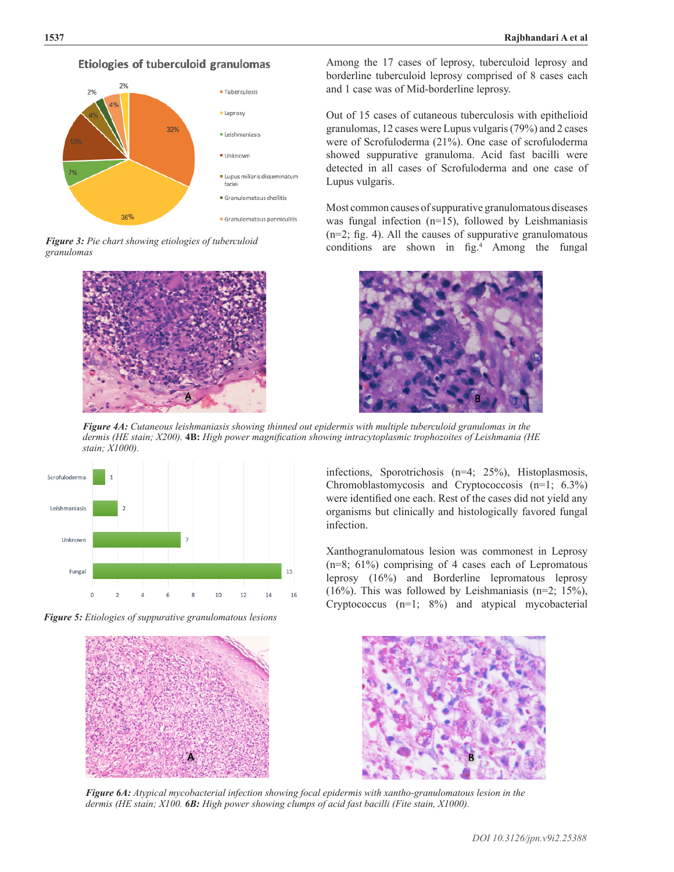

Etiologies of tuberculoid granulomas





Among the 17 cases of leprosy, tuberculoid leprosy and borderline tuberculoid leprosy comprised of 8 cases each and 1 case was of Mid-borderline leprosy.

Out of 15 cases of cutaneous tuberculosis with epithelioid granulomas, 12 cases were Lupus vulgaris (79%) and 2 cases were of Scrofuloderma (21%). One case of scrofuloderma showed suppurative granuloma. Acid fast bacilli were detected in all cases of Scrofuloderma and one case of Lupus vulgaris.

Most common causes of suppurative granulomatous diseases was fungal infection (n=15), followed by Leishmaniasis (n=2; fig. 4). All the causes of suppurative granulomatous conditions are shown in fig.<sup>4</sup> Among the fungal



*Figure 4A: Cutaneous leishmaniasis showing thinned out epidermis with multiple tuberculoid granulomas in the dermis (HE stain; X200).* **4B:** *High power magnification showing intracytoplasmic trophozoites of Leishmania (HE stain; X1000).*



*Figure 5: Etiologies of suppurative granulomatous lesions*



infections, Sporotrichosis (n=4; 25%), Histoplasmosis, Chromoblastomycosis and Cryptococcosis (n=1; 6.3%) were identified one each. Rest of the cases did not yield any organisms but clinically and histologically favored fungal infection.

Xanthogranulomatous lesion was commonest in Leprosy (n=8; 61%) comprising of 4 cases each of Lepromatous leprosy (16%) and Borderline lepromatous leprosy  $(16\%)$ . This was followed by Leishmaniasis (n=2; 15%), Cryptococcus (n=1; 8%) and atypical mycobacterial



*Figure 6A: Atypical mycobacterial infection showing focal epidermis with xantho-granulomatous lesion in the dermis (HE stain; X100. 6B: High power showing clumps of acid fast bacilli (Fite stain, X1000).*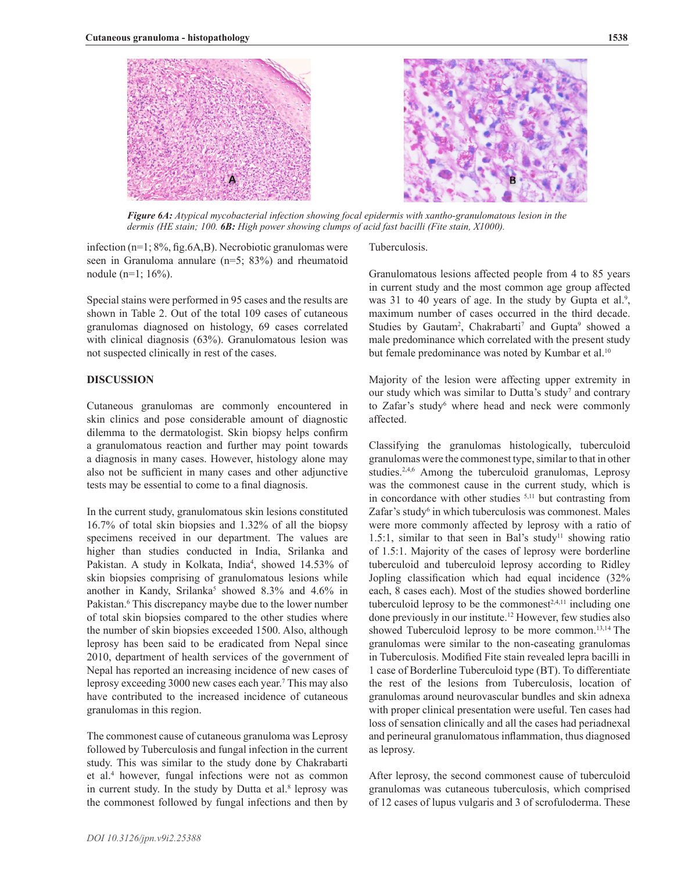

*Figure 6A: Atypical mycobacterial infection showing focal epidermis with xantho-granulomatous lesion in the dermis (HE stain; 100. 6B: High power showing clumps of acid fast bacilli (Fite stain, X1000).*

infection (n=1; 8%, fig.6A,B). Necrobiotic granulomas were seen in Granuloma annulare (n=5; 83%) and rheumatoid nodule (n=1; 16%).

Special stains were performed in 95 cases and the results are shown in Table 2. Out of the total 109 cases of cutaneous granulomas diagnosed on histology, 69 cases correlated with clinical diagnosis (63%). Granulomatous lesion was not suspected clinically in rest of the cases.

# **DISCUSSION**

Cutaneous granulomas are commonly encountered in skin clinics and pose considerable amount of diagnostic dilemma to the dermatologist. Skin biopsy helps confirm a granulomatous reaction and further may point towards a diagnosis in many cases. However, histology alone may also not be sufficient in many cases and other adjunctive tests may be essential to come to a final diagnosis.

In the current study, granulomatous skin lesions constituted 16.7% of total skin biopsies and 1.32% of all the biopsy specimens received in our department. The values are higher than studies conducted in India, Srilanka and Pakistan. A study in Kolkata, India<sup>4</sup>, showed 14.53% of skin biopsies comprising of granulomatous lesions while another in Kandy, Srilanka<sup>5</sup> showed 8.3% and 4.6% in Pakistan.<sup>6</sup> This discrepancy maybe due to the lower number of total skin biopsies compared to the other studies where the number of skin biopsies exceeded 1500. Also, although leprosy has been said to be eradicated from Nepal since 2010, department of health services of the government of Nepal has reported an increasing incidence of new cases of leprosy exceeding 3000 new cases each year.7 This may also have contributed to the increased incidence of cutaneous granulomas in this region.

The commonest cause of cutaneous granuloma was Leprosy followed by Tuberculosis and fungal infection in the current study. This was similar to the study done by Chakrabarti et al.4 however, fungal infections were not as common in current study. In the study by Dutta et al.<sup>8</sup> leprosy was the commonest followed by fungal infections and then by

#### Tuberculosis.

Granulomatous lesions affected people from 4 to 85 years in current study and the most common age group affected was 31 to 40 years of age. In the study by Gupta et al.<sup>9</sup>, maximum number of cases occurred in the third decade. Studies by Gautam<sup>2</sup>, Chakrabarti<sup>7</sup> and Gupta<sup>9</sup> showed a male predominance which correlated with the present study but female predominance was noted by Kumbar et al.<sup>10</sup>

Majority of the lesion were affecting upper extremity in our study which was similar to Dutta's study<sup>7</sup> and contrary to Zafar's study<sup>6</sup> where head and neck were commonly affected.

Classifying the granulomas histologically, tuberculoid granulomas were the commonest type, similar to that in other studies.<sup>2,4,6</sup> Among the tuberculoid granulomas, Leprosy was the commonest cause in the current study, which is in concordance with other studies 5,11 but contrasting from Zafar's study<sup>6</sup> in which tuberculosis was commonest. Males were more commonly affected by leprosy with a ratio of 1.5:1, similar to that seen in Bal's study<sup>11</sup> showing ratio of 1.5:1. Majority of the cases of leprosy were borderline tuberculoid and tuberculoid leprosy according to Ridley Jopling classification which had equal incidence (32% each, 8 cases each). Most of the studies showed borderline tuberculoid leprosy to be the commonest<sup>2,4,11</sup> including one done previously in our institute.<sup>12</sup> However, few studies also showed Tuberculoid leprosy to be more common.<sup>13,14</sup> The granulomas were similar to the non-caseating granulomas in Tuberculosis. Modified Fite stain revealed lepra bacilli in 1 case of Borderline Tuberculoid type (BT). To differentiate the rest of the lesions from Tuberculosis, location of granulomas around neurovascular bundles and skin adnexa with proper clinical presentation were useful. Ten cases had loss of sensation clinically and all the cases had periadnexal and perineural granulomatous inflammation, thus diagnosed as leprosy.

After leprosy, the second commonest cause of tuberculoid granulomas was cutaneous tuberculosis, which comprised of 12 cases of lupus vulgaris and 3 of scrofuloderma. These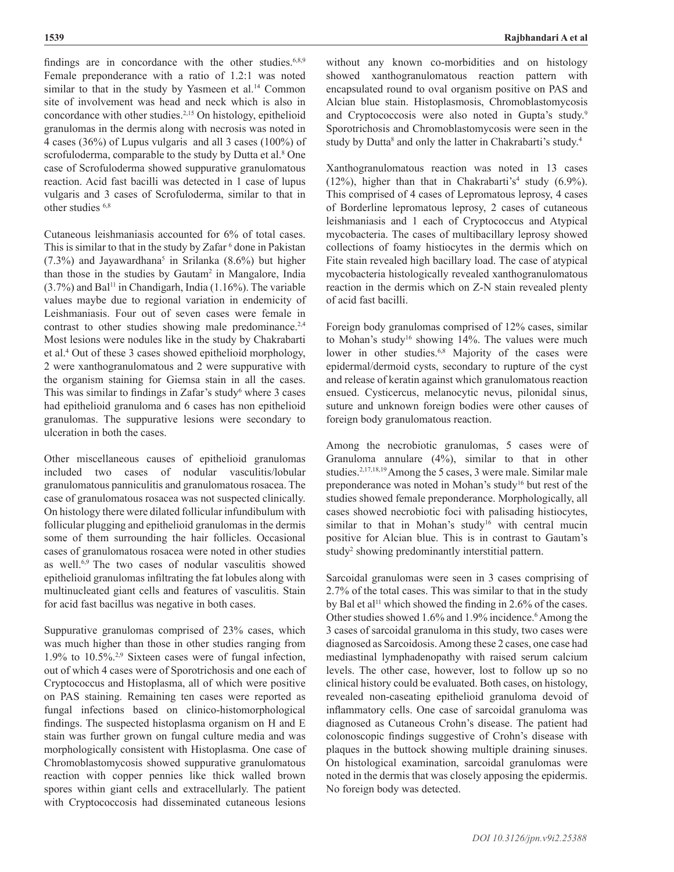findings are in concordance with the other studies. $6,8,9$ Female preponderance with a ratio of 1.2:1 was noted similar to that in the study by Yasmeen et al.<sup>14</sup> Common site of involvement was head and neck which is also in concordance with other studies.2,15 On histology, epithelioid granulomas in the dermis along with necrosis was noted in 4 cases (36%) of Lupus vulgaris and all 3 cases (100%) of scrofuloderma, comparable to the study by Dutta et al.<sup>8</sup> One case of Scrofuloderma showed suppurative granulomatous reaction. Acid fast bacilli was detected in 1 case of lupus vulgaris and 3 cases of Scrofuloderma, similar to that in other studies <sup>6,8</sup>

Cutaneous leishmaniasis accounted for 6% of total cases. This is similar to that in the study by Zafar <sup>6</sup> done in Pakistan  $(7.3\%)$  and Jayawardhana<sup>5</sup> in Srilanka  $(8.6\%)$  but higher than those in the studies by Gautam<sup>2</sup> in Mangalore, India  $(3.7\%)$  and Bal<sup>11</sup> in Chandigarh, India  $(1.16\%)$ . The variable values maybe due to regional variation in endemicity of Leishmaniasis. Four out of seven cases were female in contrast to other studies showing male predominance.<sup>2,4</sup> Most lesions were nodules like in the study by Chakrabarti et al.4 Out of these 3 cases showed epithelioid morphology, 2 were xanthogranulomatous and 2 were suppurative with the organism staining for Giemsa stain in all the cases. This was similar to findings in Zafar's study $6$  where 3 cases had epithelioid granuloma and 6 cases has non epithelioid granulomas. The suppurative lesions were secondary to ulceration in both the cases.

Other miscellaneous causes of epithelioid granulomas included two cases of nodular vasculitis/lobular granulomatous panniculitis and granulomatous rosacea. The case of granulomatous rosacea was not suspected clinically. On histology there were dilated follicular infundibulum with follicular plugging and epithelioid granulomas in the dermis some of them surrounding the hair follicles. Occasional cases of granulomatous rosacea were noted in other studies as well.<sup>6,9</sup> The two cases of nodular vasculitis showed epithelioid granulomas infiltrating the fat lobules along with multinucleated giant cells and features of vasculitis. Stain for acid fast bacillus was negative in both cases.

Suppurative granulomas comprised of 23% cases, which was much higher than those in other studies ranging from 1.9% to 10.5%.2,9 Sixteen cases were of fungal infection, out of which 4 cases were of Sporotrichosis and one each of Cryptococcus and Histoplasma, all of which were positive on PAS staining. Remaining ten cases were reported as fungal infections based on clinico-histomorphological findings. The suspected histoplasma organism on H and E stain was further grown on fungal culture media and was morphologically consistent with Histoplasma. One case of Chromoblastomycosis showed suppurative granulomatous reaction with copper pennies like thick walled brown spores within giant cells and extracellularly. The patient with Cryptococcosis had disseminated cutaneous lesions without any known co-morbidities and on histology showed xanthogranulomatous reaction pattern with encapsulated round to oval organism positive on PAS and Alcian blue stain. Histoplasmosis, Chromoblastomycosis and Cryptococcosis were also noted in Gupta's study.<sup>9</sup> Sporotrichosis and Chromoblastomycosis were seen in the study by Dutta<sup>8</sup> and only the latter in Chakrabarti's study.<sup>4</sup>

Xanthogranulomatous reaction was noted in 13 cases  $(12%)$ , higher than that in Chakrabarti's<sup>4</sup> study  $(6.9%)$ . This comprised of 4 cases of Lepromatous leprosy, 4 cases of Borderline lepromatous leprosy, 2 cases of cutaneous leishmaniasis and 1 each of Cryptococcus and Atypical mycobacteria. The cases of multibacillary leprosy showed collections of foamy histiocytes in the dermis which on Fite stain revealed high bacillary load. The case of atypical mycobacteria histologically revealed xanthogranulomatous reaction in the dermis which on Z-N stain revealed plenty of acid fast bacilli.

Foreign body granulomas comprised of 12% cases, similar to Mohan's study<sup>16</sup> showing 14%. The values were much lower in other studies.<sup>6,8</sup> Majority of the cases were epidermal/dermoid cysts, secondary to rupture of the cyst and release of keratin against which granulomatous reaction ensued. Cysticercus, melanocytic nevus, pilonidal sinus, suture and unknown foreign bodies were other causes of foreign body granulomatous reaction.

Among the necrobiotic granulomas, 5 cases were of Granuloma annulare (4%), similar to that in other studies.<sup>2,17,18,19</sup> Among the 5 cases, 3 were male. Similar male preponderance was noted in Mohan's study<sup>16</sup> but rest of the studies showed female preponderance. Morphologically, all cases showed necrobiotic foci with palisading histiocytes, similar to that in Mohan's study<sup>16</sup> with central mucin positive for Alcian blue. This is in contrast to Gautam's study<sup>2</sup> showing predominantly interstitial pattern.

Sarcoidal granulomas were seen in 3 cases comprising of 2.7% of the total cases. This was similar to that in the study by Bal et al<sup>11</sup> which showed the finding in 2.6% of the cases. Other studies showed 1.6% and 1.9% incidence. <sup>6</sup> Among the 3 cases of sarcoidal granuloma in this study, two cases were diagnosed as Sarcoidosis. Among these 2 cases, one case had mediastinal lymphadenopathy with raised serum calcium levels. The other case, however, lost to follow up so no clinical history could be evaluated. Both cases, on histology, revealed non-caseating epithelioid granuloma devoid of inflammatory cells. One case of sarcoidal granuloma was diagnosed as Cutaneous Crohn's disease. The patient had colonoscopic findings suggestive of Crohn's disease with plaques in the buttock showing multiple draining sinuses. On histological examination, sarcoidal granulomas were noted in the dermis that was closely apposing the epidermis. No foreign body was detected.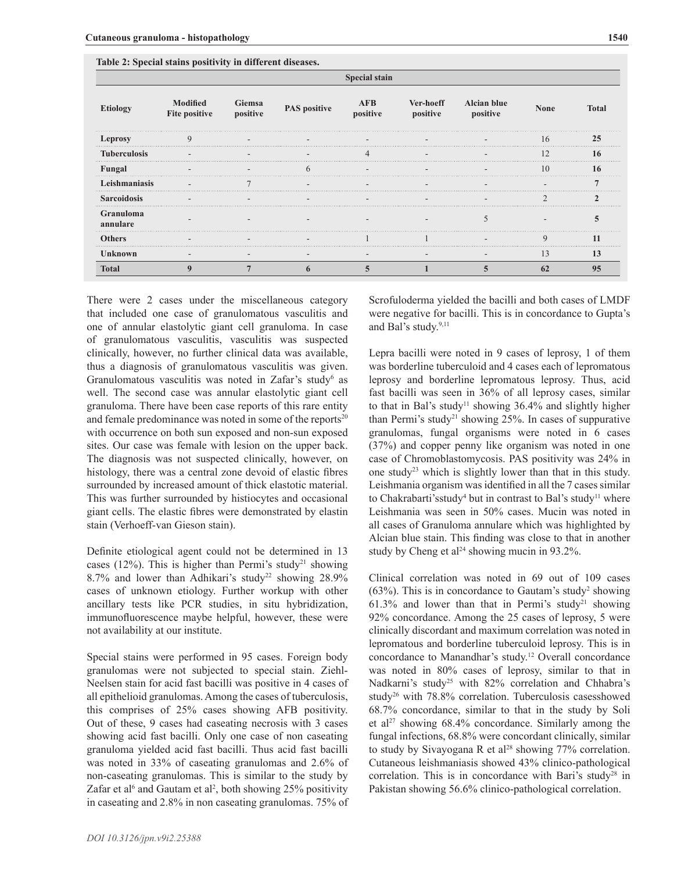|                       | <b>Special stain</b>             |                    |                     |                        |                       |                                |                |              |
|-----------------------|----------------------------------|--------------------|---------------------|------------------------|-----------------------|--------------------------------|----------------|--------------|
| <b>Etiology</b>       | <b>Modified</b><br>Fite positive | Giemsa<br>positive | <b>PAS</b> positive | <b>AFB</b><br>positive | Ver-hoeff<br>positive | <b>Alcian blue</b><br>positive | <b>None</b>    | <b>Total</b> |
| Leprosy               |                                  |                    |                     |                        |                       |                                | 16             | 25           |
| <b>Tuberculosis</b>   |                                  |                    |                     |                        |                       |                                |                | 16           |
| Fungal                |                                  |                    |                     |                        |                       |                                | $\overline{0}$ | 16           |
| Leishmaniasis         |                                  |                    |                     |                        |                       |                                |                |              |
| <b>Sarcoidosis</b>    |                                  |                    |                     |                        |                       |                                |                |              |
| Granuloma<br>annulare |                                  |                    |                     |                        |                       |                                |                |              |
| Others                |                                  |                    |                     |                        |                       |                                | u              | 11           |
| Unknown               |                                  |                    |                     |                        |                       |                                | 13             | 13           |
| Total                 |                                  |                    |                     |                        |                       |                                |                | 95           |

**Table 2: Special stains positivity in different diseases.**

There were 2 cases under the miscellaneous category that included one case of granulomatous vasculitis and one of annular elastolytic giant cell granuloma. In case of granulomatous vasculitis, vasculitis was suspected clinically, however, no further clinical data was available, thus a diagnosis of granulomatous vasculitis was given. Granulomatous vasculitis was noted in Zafar's study<sup>6</sup> as well. The second case was annular elastolytic giant cell granuloma. There have been case reports of this rare entity and female predominance was noted in some of the reports<sup>20</sup> with occurrence on both sun exposed and non-sun exposed sites. Our case was female with lesion on the upper back. The diagnosis was not suspected clinically, however, on histology, there was a central zone devoid of elastic fibres surrounded by increased amount of thick elastotic material. This was further surrounded by histiocytes and occasional giant cells. The elastic fibres were demonstrated by elastin stain (Verhoeff-van Gieson stain).

Definite etiological agent could not be determined in 13 cases (12%). This is higher than Permi's study<sup>21</sup> showing 8.7% and lower than Adhikari's study<sup>22</sup> showing  $28.9\%$ cases of unknown etiology. Further workup with other ancillary tests like PCR studies, in situ hybridization, immunofluorescence maybe helpful, however, these were not availability at our institute.

Special stains were performed in 95 cases. Foreign body granulomas were not subjected to special stain. Ziehl-Neelsen stain for acid fast bacilli was positive in 4 cases of all epithelioid granulomas. Among the cases of tuberculosis, this comprises of 25% cases showing AFB positivity. Out of these, 9 cases had caseating necrosis with 3 cases showing acid fast bacilli. Only one case of non caseating granuloma yielded acid fast bacilli. Thus acid fast bacilli was noted in 33% of caseating granulomas and 2.6% of non-caseating granulomas. This is similar to the study by Zafar et al<sup>6</sup> and Gautam et al<sup>2</sup>, both showing 25% positivity in caseating and 2.8% in non caseating granulomas. 75% of Scrofuloderma yielded the bacilli and both cases of LMDF were negative for bacilli. This is in concordance to Gupta's and Bal's study.<sup>9,11</sup>

Lepra bacilli were noted in 9 cases of leprosy, 1 of them was borderline tuberculoid and 4 cases each of lepromatous leprosy and borderline lepromatous leprosy. Thus, acid fast bacilli was seen in 36% of all leprosy cases, similar to that in Bal's study<sup>11</sup> showing  $36.4\%$  and slightly higher than Permi's study<sup>21</sup> showing 25%. In cases of suppurative granulomas, fungal organisms were noted in 6 cases (37%) and copper penny like organism was noted in one case of Chromoblastomycosis. PAS positivity was 24% in one study23 which is slightly lower than that in this study. Leishmania organism was identified in all the 7 cases similar to Chakrabarti's study<sup>4</sup> but in contrast to Bal's study<sup>11</sup> where Leishmania was seen in 50% cases. Mucin was noted in all cases of Granuloma annulare which was highlighted by Alcian blue stain. This finding was close to that in another study by Cheng et al<sup>24</sup> showing mucin in 93.2%.

Clinical correlation was noted in 69 out of 109 cases  $(63%)$ . This is in concordance to Gautam's study<sup>2</sup> showing  $61.3\%$  and lower than that in Permi's study<sup>21</sup> showing 92% concordance. Among the 25 cases of leprosy, 5 were clinically discordant and maximum correlation was noted in lepromatous and borderline tuberculoid leprosy. This is in concordance to Manandhar's study.12 Overall concordance was noted in 80% cases of leprosy, similar to that in Nadkarni's study<sup>25</sup> with 82% correlation and Chhabra's study26 with 78.8% correlation. Tuberculosis casesshowed 68.7% concordance, similar to that in the study by Soli et al<sup>27</sup> showing  $68.4\%$  concordance. Similarly among the fungal infections, 68.8% were concordant clinically, similar to study by Sivayogana R et al<sup>28</sup> showing  $77\%$  correlation. Cutaneous leishmaniasis showed 43% clinico-pathological correlation. This is in concordance with Bari's study<sup>28</sup> in Pakistan showing 56.6% clinico-pathological correlation.